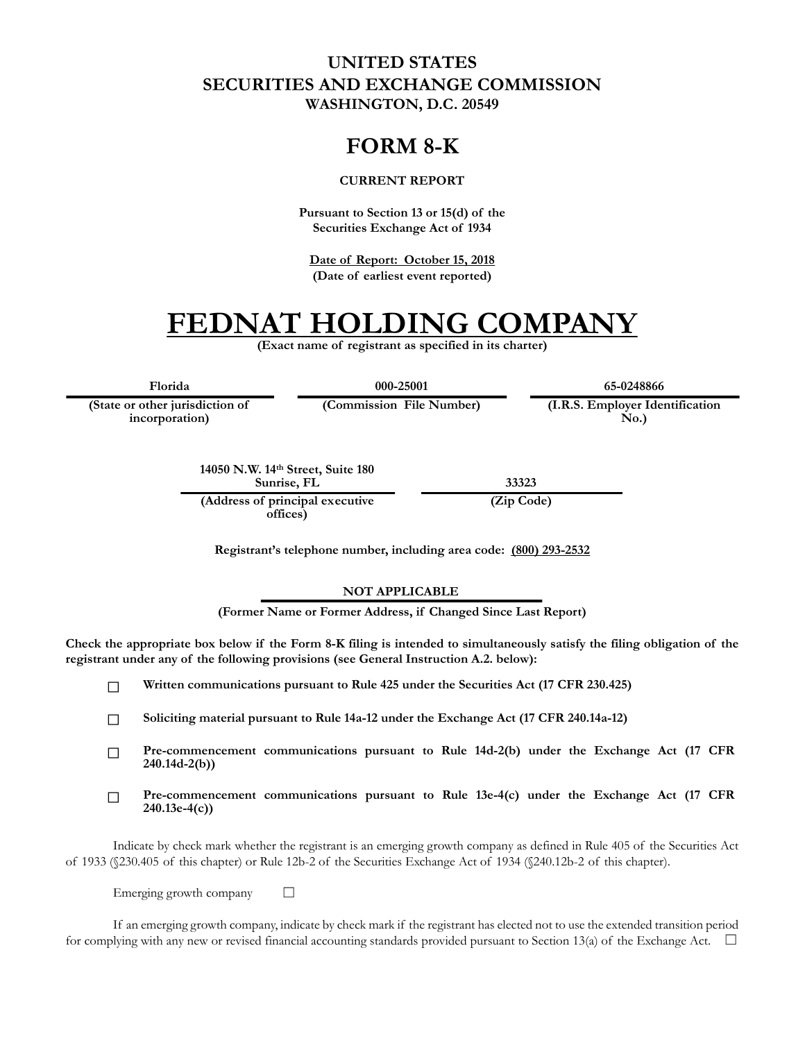### **UNITED STATES SECURITIES AND EXCHANGE COMMISSION WASHINGTON, D.C. 20549**

## **FORM 8-K**

#### **CURRENT REPORT**

**Pursuant to Section 13 or 15(d) of the Securities Exchange Act of 1934**

**Date of Report: October 15, 2018 (Date of earliest event reported)**

# **FEDNAT HOLDING COMPANY**

**(Exact name of registrant as specified in its charter)**

**(State or other jurisdiction of**

**incorporation)**

**Florida 000-25001 65-0248866**

**(Commission File Number) (I.R.S. Employer Identification No.)**

**14050 N.W. 14th Street, Suite 180 Sunrise, FL 33323 (Address of principal executive**

**offices)**

**(Zip Code)**

**Registrant's telephone number, including area code: (800) 293-2532**

#### **NOT APPLICABLE**

**(Former Name or Former Address, if Changed Since Last Report)**

**Check the appropriate box below if the Form 8-K filing is intended to simultaneously satisfy the filing obligation of the registrant under any of the following provisions (see General Instruction A.2. below):**

 $\Box$ **Written communications pursuant to Rule 425 under the Securities Act (17 CFR 230.425)**

**Soliciting material pursuant to Rule 14a-12 under the Exchange Act (17 CFR 240.14a-12)**  $\Box$ 

- **Pre-commencement communications pursuant to Rule 14d-2(b) under the Exchange Act (17 CFR**   $\Box$ **240.14d-2(b))**
- **Pre-commencement communications pursuant to Rule 13e-4(c) under the Exchange Act (17 CFR**   $\Box$ **240.13e-4(c))**

Indicate by check mark whether the registrant is an emerging growth company as defined in Rule 405 of the Securities Act of 1933 (§230.405 of this chapter) or Rule 12b-2 of the Securities Exchange Act of 1934 (§240.12b-2 of this chapter).

Emerging growth company  $\Box$ 

If an emerging growth company, indicate by check mark if the registrant has elected not to use the extended transition period for complying with any new or revised financial accounting standards provided pursuant to Section 13(a) of the Exchange Act.  $\square$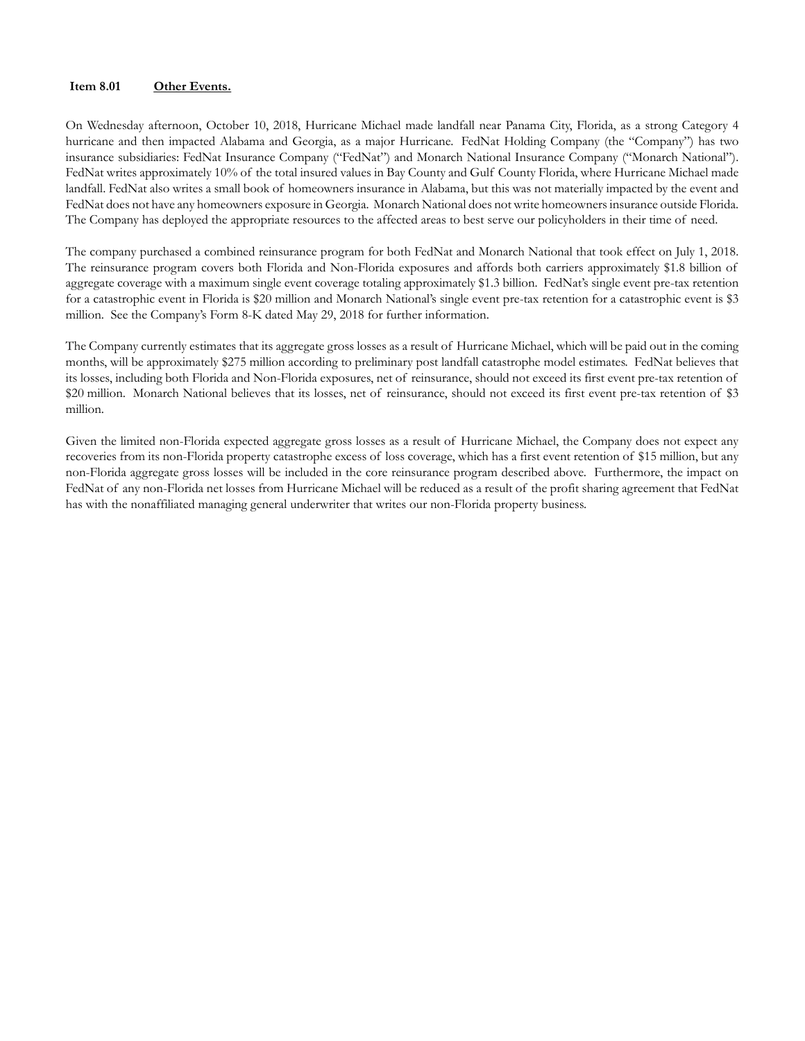#### **Item 8.01 Other Events.**

On Wednesday afternoon, October 10, 2018, Hurricane Michael made landfall near Panama City, Florida, as a strong Category 4 hurricane and then impacted Alabama and Georgia, as a major Hurricane. FedNat Holding Company (the "Company") has two insurance subsidiaries: FedNat Insurance Company ("FedNat") and Monarch National Insurance Company ("Monarch National"). FedNat writes approximately 10% of the total insured values in Bay County and Gulf County Florida, where Hurricane Michael made landfall. FedNat also writes a small book of homeowners insurance in Alabama, but this was not materially impacted by the event and FedNat does not have any homeowners exposure in Georgia. Monarch National does not write homeowners insurance outside Florida. The Company has deployed the appropriate resources to the affected areas to best serve our policyholders in their time of need.

The company purchased a combined reinsurance program for both FedNat and Monarch National that took effect on July 1, 2018. The reinsurance program covers both Florida and Non-Florida exposures and affords both carriers approximately \$1.8 billion of aggregate coverage with a maximum single event coverage totaling approximately \$1.3 billion. FedNat's single event pre-tax retention for a catastrophic event in Florida is \$20 million and Monarch National's single event pre-tax retention for a catastrophic event is \$3 million. See the Company's Form 8-K dated May 29, 2018 for further information.

The Company currently estimates that its aggregate gross losses as a result of Hurricane Michael, which will be paid out in the coming months, will be approximately \$275 million according to preliminary post landfall catastrophe model estimates. FedNat believes that its losses, including both Florida and Non-Florida exposures, net of reinsurance, should not exceed its first event pre-tax retention of \$20 million. Monarch National believes that its losses, net of reinsurance, should not exceed its first event pre-tax retention of \$3 million.

Given the limited non-Florida expected aggregate gross losses as a result of Hurricane Michael, the Company does not expect any recoveries from its non-Florida property catastrophe excess of loss coverage, which has a first event retention of \$15 million, but any non-Florida aggregate gross losses will be included in the core reinsurance program described above. Furthermore, the impact on FedNat of any non-Florida net losses from Hurricane Michael will be reduced as a result of the profit sharing agreement that FedNat has with the nonaffiliated managing general underwriter that writes our non-Florida property business.